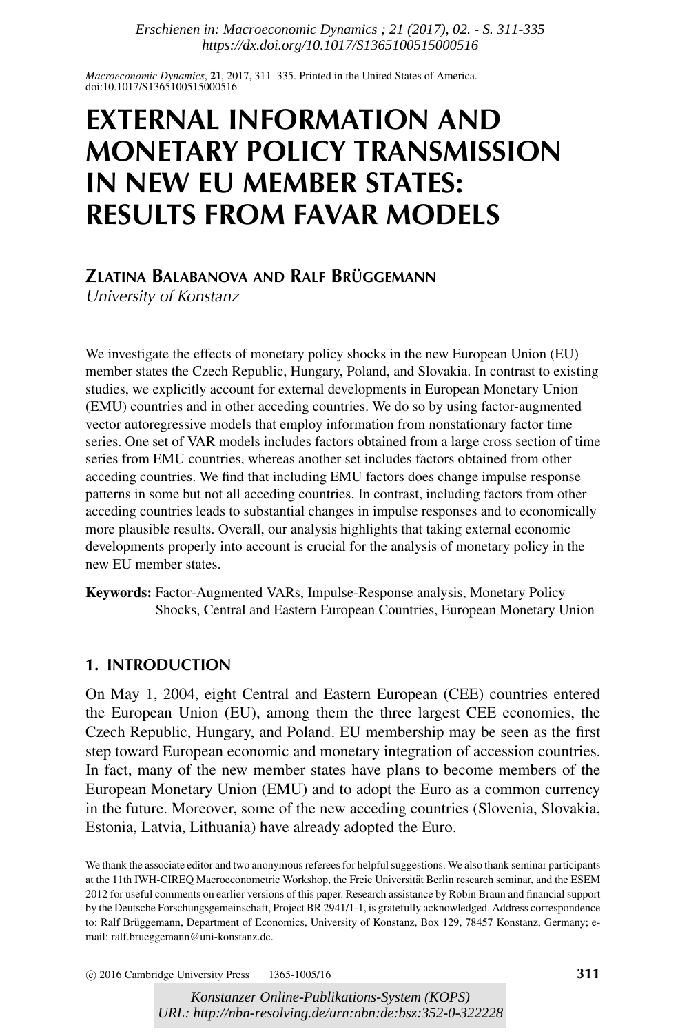*Erschienen in: Macroeconomic Dynamics ; 21 (2017), 02. - S. 311-335 https://dx.doi.org/10.1017/S1365100515000516*

*Macroeconomic Dynamics*, **21**, 2017, 311–335. Printed in the United States of America. doi:10.1017/S1365100515000516

# **EXTERNAL INFORMATION AND MONETARY POLICY TRANSMISSION IN NEW EU MEMBER STATES: RESULTS FROM FAVAR MODELS**

# **ZLATINA BALABANOVA AND RALF BRUGGEMANN ¨**

*University of Konstanz*

We investigate the effects of monetary policy shocks in the new European Union (EU) member states the Czech Republic, Hungary, Poland, and Slovakia. In contrast to existing studies, we explicitly account for external developments in European Monetary Union (EMU) countries and in other acceding countries. We do so by using factor-augmented vector autoregressive models that employ information from nonstationary factor time series. One set of VAR models includes factors obtained from a large cross section of time series from EMU countries, whereas another set includes factors obtained from other acceding countries. We find that including EMU factors does change impulse response patterns in some but not all acceding countries. In contrast, including factors from other acceding countries leads to substantial changes in impulse responses and to economically more plausible results. Overall, our analysis highlights that taking external economic developments properly into account is crucial for the analysis of monetary policy in the new EU member states.

**Keywords:** Factor-Augmented VARs, Impulse-Response analysis, Monetary Policy Shocks, Central and Eastern European Countries, European Monetary Union

# **1. INTRODUCTION**

On May 1, 2004, eight Central and Eastern European (CEE) countries entered the European Union (EU), among them the three largest CEE economies, the Czech Republic, Hungary, and Poland. EU membership may be seen as the first step toward European economic and monetary integration of accession countries. In fact, many of the new member states have plans to become members of the European Monetary Union (EMU) and to adopt the Euro as a common currency in the future. Moreover, some of the new acceding countries (Slovenia, Slovakia, Estonia, Latvia, Lithuania) have already adopted the Euro.

We thank the associate editor and two anonymous referees for helpful suggestions. We also thank seminar participants at the 11th IWH-CIREQ Macroeconometric Workshop, the Freie Universität Berlin research seminar, and the ESEM 2012 for useful comments on earlier versions of this paper. Research assistance by Robin Braun and financial support by the Deutsche Forschungsgemeinschaft, Project BR 2941/1-1, is gratefully acknowledged. Address correspondence to: Ralf Brüggemann, Department of Economics, University of Konstanz, Box 129, 78457 Konstanz, Germany; email: ralf.brueggemann@uni-konstanz.de.

-c 2016 Cambridge University Press 1365-1005/16 **311**

*Konstanzer Online-Publikations-System (KOPS) URL: http://nbn-resolving.de/urn:nbn:de:bsz:352-0-322228*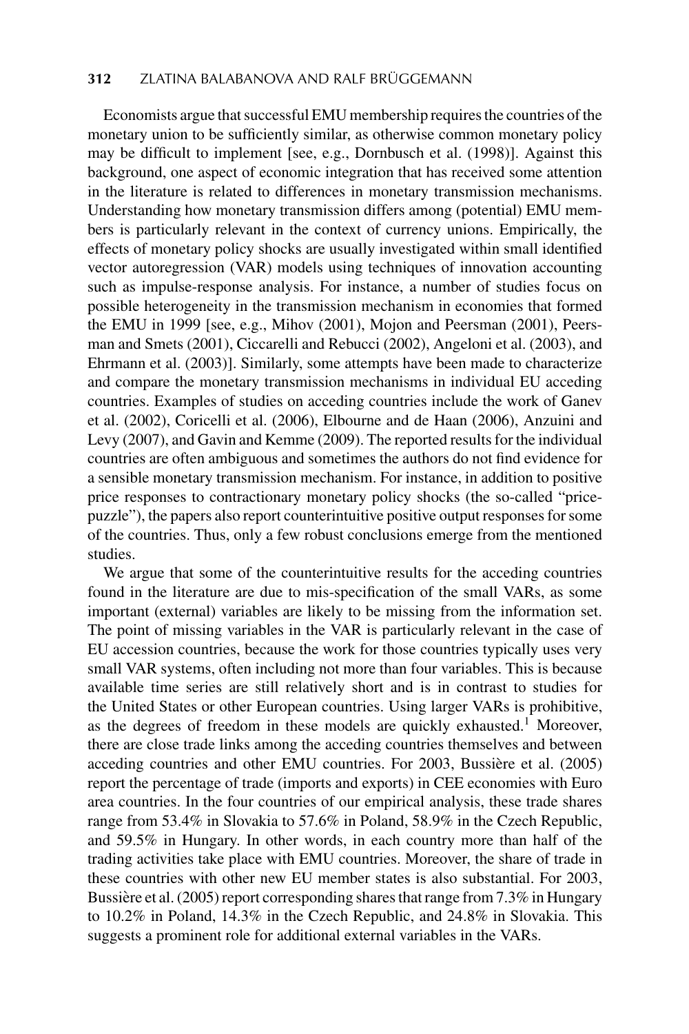# **312 ZLATINA BALABANOVA AND RALF BRÜGGEMANN**

Economists argue that successful EMU membership requires the countries of the monetary union to be sufficiently similar, as otherwise common monetary policy may be difficult to implement [see, e.g., Dornbusch et al. (1998)]. Against this background, one aspect of economic integration that has received some attention in the literature is related to differences in monetary transmission mechanisms. Understanding how monetary transmission differs among (potential) EMU members is particularly relevant in the context of currency unions. Empirically, the effects of monetary policy shocks are usually investigated within small identified vector autoregression (VAR) models using techniques of innovation accounting such as impulse-response analysis. For instance, a number of studies focus on possible heterogeneity in the transmission mechanism in economies that formed the EMU in 1999 [see, e.g., Mihov (2001), Mojon and Peersman (2001), Peersman and Smets (2001), Ciccarelli and Rebucci (2002), Angeloni et al. (2003), and Ehrmann et al. (2003)]. Similarly, some attempts have been made to characterize and compare the monetary transmission mechanisms in individual EU acceding countries. Examples of studies on acceding countries include the work of Ganev et al. (2002), Coricelli et al. (2006), Elbourne and de Haan (2006), Anzuini and Levy (2007), and Gavin and Kemme (2009). The reported results for the individual countries are often ambiguous and sometimes the authors do not find evidence for a sensible monetary transmission mechanism. For instance, in addition to positive price responses to contractionary monetary policy shocks (the so-called "pricepuzzle"), the papers also report counterintuitive positive output responses for some of the countries. Thus, only a few robust conclusions emerge from the mentioned studies.

We argue that some of the counterintuitive results for the acceding countries found in the literature are due to mis-specification of the small VARs, as some important (external) variables are likely to be missing from the information set. The point of missing variables in the VAR is particularly relevant in the case of EU accession countries, because the work for those countries typically uses very small VAR systems, often including not more than four variables. This is because available time series are still relatively short and is in contrast to studies for the United States or other European countries. Using larger VARs is prohibitive, as the degrees of freedom in these models are quickly exhausted.<sup>1</sup> Moreover, there are close trade links among the acceding countries themselves and between acceding countries and other EMU countries. For 2003, Bussiere et al. (2005) ` report the percentage of trade (imports and exports) in CEE economies with Euro area countries. In the four countries of our empirical analysis, these trade shares range from 53.4% in Slovakia to 57.6% in Poland, 58.9% in the Czech Republic, and 59.5% in Hungary. In other words, in each country more than half of the trading activities take place with EMU countries. Moreover, the share of trade in these countries with other new EU member states is also substantial. For 2003, Bussière et al. (2005) report corresponding shares that range from 7.3% in Hungary to 10.2% in Poland, 14.3% in the Czech Republic, and 24.8% in Slovakia. This suggests a prominent role for additional external variables in the VARs.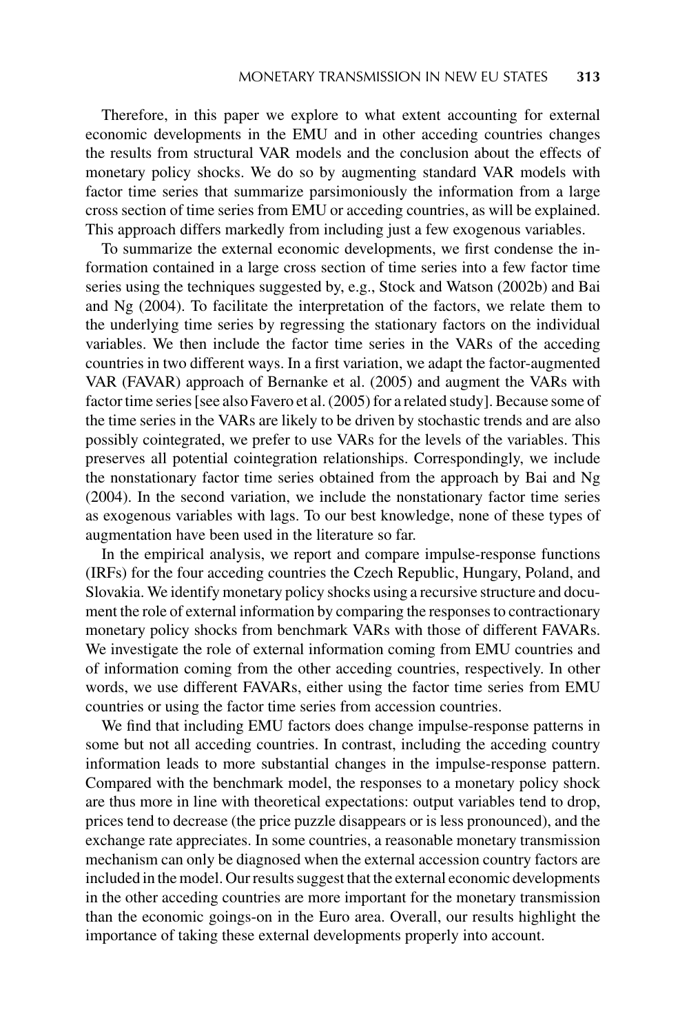Therefore, in this paper we explore to what extent accounting for external economic developments in the EMU and in other acceding countries changes the results from structural VAR models and the conclusion about the effects of monetary policy shocks. We do so by augmenting standard VAR models with factor time series that summarize parsimoniously the information from a large cross section of time series from EMU or acceding countries, as will be explained. This approach differs markedly from including just a few exogenous variables.

To summarize the external economic developments, we first condense the information contained in a large cross section of time series into a few factor time series using the techniques suggested by, e.g., Stock and Watson (2002b) and Bai and Ng (2004). To facilitate the interpretation of the factors, we relate them to the underlying time series by regressing the stationary factors on the individual variables. We then include the factor time series in the VARs of the acceding countries in two different ways. In a first variation, we adapt the factor-augmented VAR (FAVAR) approach of Bernanke et al. (2005) and augment the VARs with factor time series [see also Favero et al. (2005) for a related study]. Because some of the time series in the VARs are likely to be driven by stochastic trends and are also possibly cointegrated, we prefer to use VARs for the levels of the variables. This preserves all potential cointegration relationships. Correspondingly, we include the nonstationary factor time series obtained from the approach by Bai and Ng (2004). In the second variation, we include the nonstationary factor time series as exogenous variables with lags. To our best knowledge, none of these types of augmentation have been used in the literature so far.

In the empirical analysis, we report and compare impulse-response functions (IRFs) for the four acceding countries the Czech Republic, Hungary, Poland, and Slovakia. We identify monetary policy shocks using a recursive structure and document the role of external information by comparing the responses to contractionary monetary policy shocks from benchmark VARs with those of different FAVARs. We investigate the role of external information coming from EMU countries and of information coming from the other acceding countries, respectively. In other words, we use different FAVARs, either using the factor time series from EMU countries or using the factor time series from accession countries.

We find that including EMU factors does change impulse-response patterns in some but not all acceding countries. In contrast, including the acceding country information leads to more substantial changes in the impulse-response pattern. Compared with the benchmark model, the responses to a monetary policy shock are thus more in line with theoretical expectations: output variables tend to drop, prices tend to decrease (the price puzzle disappears or is less pronounced), and the exchange rate appreciates. In some countries, a reasonable monetary transmission mechanism can only be diagnosed when the external accession country factors are included in the model. Our results suggest that the external economic developments in the other acceding countries are more important for the monetary transmission than the economic goings-on in the Euro area. Overall, our results highlight the importance of taking these external developments properly into account.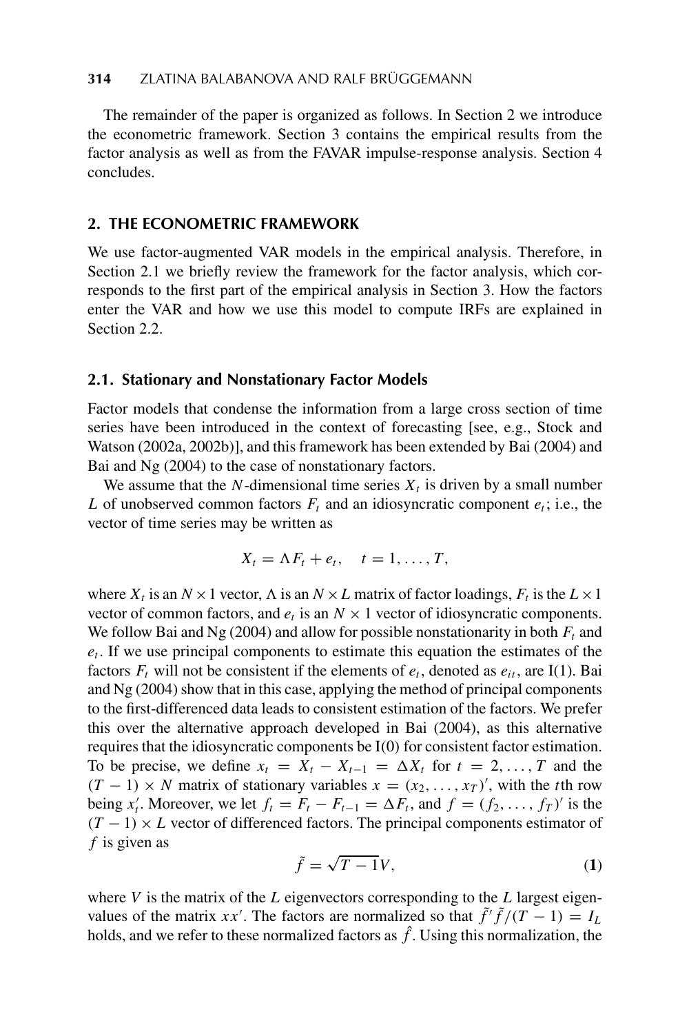#### **314** ZLATINA BALABANOVA AND RALF BRUGGEMANN ¨

The remainder of the paper is organized as follows. In Section 2 we introduce the econometric framework. Section 3 contains the empirical results from the factor analysis as well as from the FAVAR impulse-response analysis. Section 4 concludes.

#### **2. THE ECONOMETRIC FRAMEWORK**

We use factor-augmented VAR models in the empirical analysis. Therefore, in Section 2.1 we briefly review the framework for the factor analysis, which corresponds to the first part of the empirical analysis in Section 3. How the factors enter the VAR and how we use this model to compute IRFs are explained in Section 2.2.

#### **2.1. Stationary and Nonstationary Factor Models**

Factor models that condense the information from a large cross section of time series have been introduced in the context of forecasting [see, e.g., Stock and Watson (2002a, 2002b)], and this framework has been extended by Bai (2004) and Bai and Ng (2004) to the case of nonstationary factors.

We assume that the N-dimensional time series  $X_t$  is driven by a small number L of unobserved common factors  $F_t$  and an idiosyncratic component  $e_t$ ; i.e., the vector of time series may be written as

$$
X_t = \Lambda F_t + e_t, \quad t = 1, \ldots, T,
$$

where  $X_t$  is an  $N \times 1$  vector,  $\Lambda$  is an  $N \times L$  matrix of factor loadings,  $F_t$  is the  $L \times 1$ vector of common factors, and  $e_t$  is an  $N \times 1$  vector of idiosyncratic components. We follow Bai and Ng (2004) and allow for possible nonstationarity in both  $F_t$  and  $e_t$ . If we use principal components to estimate this equation the estimates of the factors  $F_t$  will not be consistent if the elements of  $e_t$ , denoted as  $e_{it}$ , are I(1). Bai and Ng (2004) show that in this case, applying the method of principal components to the first-differenced data leads to consistent estimation of the factors. We prefer this over the alternative approach developed in Bai (2004), as this alternative requires that the idiosyncratic components be I(0) for consistent factor estimation. To be precise, we define  $x_t = X_t - X_{t-1} = \Delta X_t$  for  $t = 2, ..., T$  and the  $(T - 1) \times N$  matrix of stationary variables  $x = (x_2, \dots, x_T)'$ , with the *t*th row being  $x'_t$ . Moreover, we let  $f_t = F_t - F_{t-1} = \Delta F_t$ , and  $f = (f_2, \dots, f_T)'$  is the  $(T - 1) \times L$  vector of differenced factors. The principal components estimator of  $f$  is given as

$$
\tilde{f} = \sqrt{T - 1}V,\tag{1}
$$

where V is the matrix of the L eigenvectors corresponding to the L largest eigenvalues of the matrix xx'. The factors are normalized so that  $\tilde{f}' \tilde{f}/(T-1) = I_L$ holds, and we refer to these normalized factors as  $\hat{f}$ . Using this normalization, the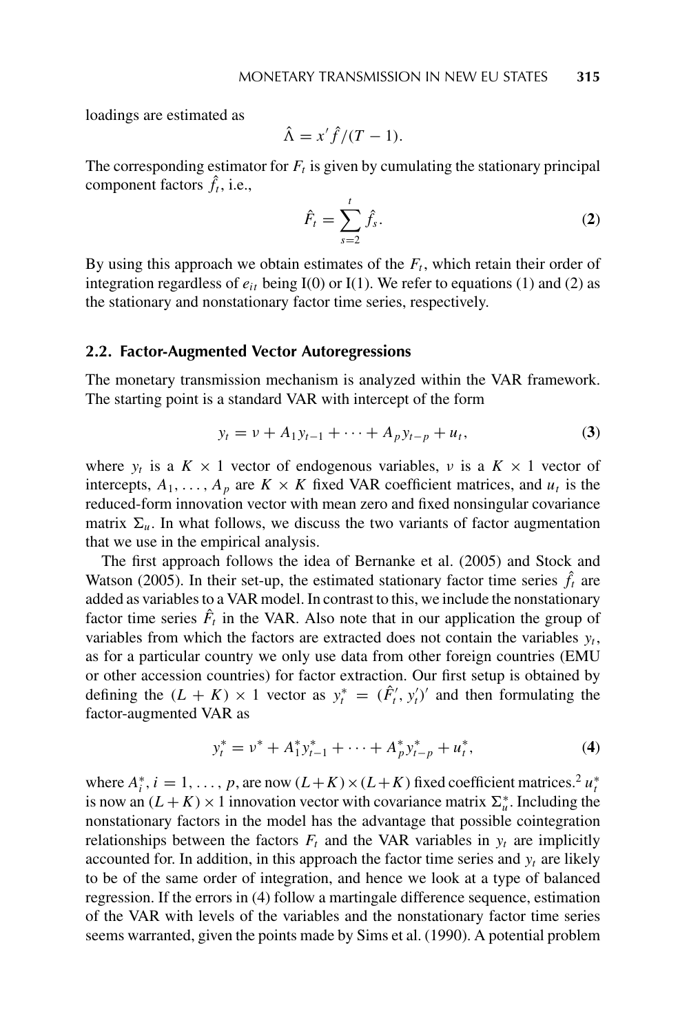loadings are estimated as

$$
\hat{\Lambda} = x' \hat{f} / (T - 1).
$$

The corresponding estimator for  $F_t$  is given by cumulating the stationary principal component factors  $\hat{f}_t$ , i.e.,

$$
\hat{F}_t = \sum_{s=2}^t \hat{f}_s.
$$
 (2)

By using this approach we obtain estimates of the  $F_t$ , which retain their order of integration regardless of  $e_{it}$  being I(0) or I(1). We refer to equations (1) and (2) as the stationary and nonstationary factor time series, respectively.

#### **2.2. Factor-Augmented Vector Autoregressions**

The monetary transmission mechanism is analyzed within the VAR framework. The starting point is a standard VAR with intercept of the form

$$
y_t = v + A_1 y_{t-1} + \dots + A_p y_{t-p} + u_t,
$$
 (3)

where  $y_t$  is a  $K \times 1$  vector of endogenous variables, v is a  $K \times 1$  vector of intercepts,  $A_1, \ldots, A_n$  are  $K \times K$  fixed VAR coefficient matrices, and  $u_t$  is the reduced-form innovation vector with mean zero and fixed nonsingular covariance matrix  $\Sigma_u$ . In what follows, we discuss the two variants of factor augmentation that we use in the empirical analysis.

The first approach follows the idea of Bernanke et al. (2005) and Stock and Watson (2005). In their set-up, the estimated stationary factor time series  $\hat{f}_t$  are added as variables to a VAR model. In contrast to this, we include the nonstationary factor time series  $\hat{F}_t$  in the VAR. Also note that in our application the group of variables from which the factors are extracted does not contain the variables  $y_t$ , as for a particular country we only use data from other foreign countries (EMU or other accession countries) for factor extraction. Our first setup is obtained by defining the  $(L + K) \times 1$  vector as  $y_t^* = (\hat{F}_t', y_t')'$  and then formulating the factor-augmented VAR as

$$
y_t^* = v^* + A_1^* y_{t-1}^* + \dots + A_p^* y_{t-p}^* + u_t^*,
$$
\n(4)

where  $A_i^*$ ,  $i = 1, ..., p$ , are now  $(L+K) \times (L+K)$  fixed coefficient matrices.<sup>2</sup>  $u_t^*$ is now an  $(L+K) \times 1$  innovation vector with covariance matrix  $\Sigma_u^*$ . Including the nonstationary factors in the model has the advantage that possible cointegration relationships between the factors  $F_t$  and the VAR variables in  $y_t$  are implicitly accounted for. In addition, in this approach the factor time series and  $y_t$  are likely to be of the same order of integration, and hence we look at a type of balanced regression. If the errors in (4) follow a martingale difference sequence, estimation of the VAR with levels of the variables and the nonstationary factor time series seems warranted, given the points made by Sims et al. (1990). A potential problem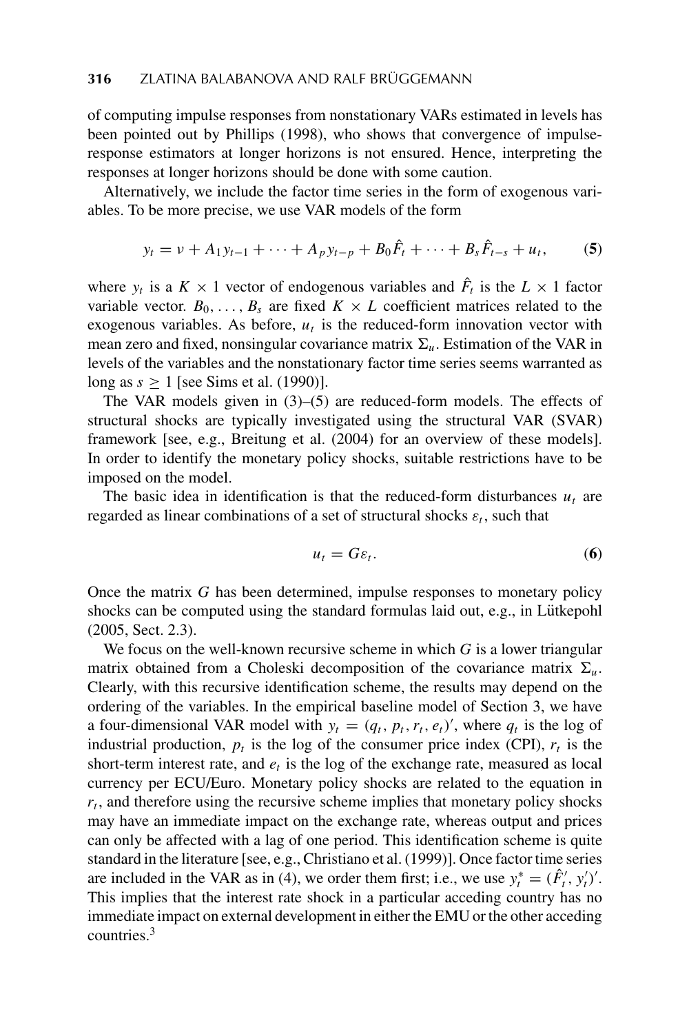of computing impulse responses from nonstationary VARs estimated in levels has been pointed out by Phillips (1998), who shows that convergence of impulseresponse estimators at longer horizons is not ensured. Hence, interpreting the responses at longer horizons should be done with some caution.

Alternatively, we include the factor time series in the form of exogenous variables. To be more precise, we use VAR models of the form

$$
y_t = v + A_1 y_{t-1} + \dots + A_p y_{t-p} + B_0 \hat{F}_t + \dots + B_s \hat{F}_{t-s} + u_t,
$$
 (5)

where  $y_t$  is a  $K \times 1$  vector of endogenous variables and  $\hat{F}_t$  is the  $L \times 1$  factor variable vector.  $B_0, \ldots, B_s$  are fixed  $K \times L$  coefficient matrices related to the exogenous variables. As before,  $u_t$  is the reduced-form innovation vector with mean zero and fixed, nonsingular covariance matrix  $\Sigma_u$ . Estimation of the VAR in levels of the variables and the nonstationary factor time series seems warranted as long as  $s \ge 1$  [see Sims et al. (1990)].

The VAR models given in (3)–(5) are reduced-form models. The effects of structural shocks are typically investigated using the structural VAR (SVAR) framework [see, e.g., Breitung et al. (2004) for an overview of these models]. In order to identify the monetary policy shocks, suitable restrictions have to be imposed on the model.

The basic idea in identification is that the reduced-form disturbances  $u_t$  are regarded as linear combinations of a set of structural shocks  $\varepsilon_t$ , such that

$$
u_t = G\varepsilon_t. \tag{6}
$$

Once the matrix G has been determined, impulse responses to monetary policy shocks can be computed using the standard formulas laid out, e.g., in Lütkepohl (2005, Sect. 2.3).

We focus on the well-known recursive scheme in which  $G$  is a lower triangular matrix obtained from a Choleski decomposition of the covariance matrix  $\Sigma_u$ . Clearly, with this recursive identification scheme, the results may depend on the ordering of the variables. In the empirical baseline model of Section 3, we have a four-dimensional VAR model with  $y_t = (q_t, p_t, r_t, e_t)'$ , where  $q_t$  is the log of industrial production,  $p_t$  is the log of the consumer price index (CPI),  $r_t$  is the short-term interest rate, and  $e_t$  is the log of the exchange rate, measured as local currency per ECU/Euro. Monetary policy shocks are related to the equation in  $r_t$ , and therefore using the recursive scheme implies that monetary policy shocks may have an immediate impact on the exchange rate, whereas output and prices can only be affected with a lag of one period. This identification scheme is quite standard in the literature [see, e.g., Christiano et al. (1999)]. Once factor time series are included in the VAR as in (4), we order them first; i.e., we use  $y_t^* = (\hat{F}_t', y_t')'.$ This implies that the interest rate shock in a particular acceding country has no immediate impact on external development in either the EMU or the other acceding countries.3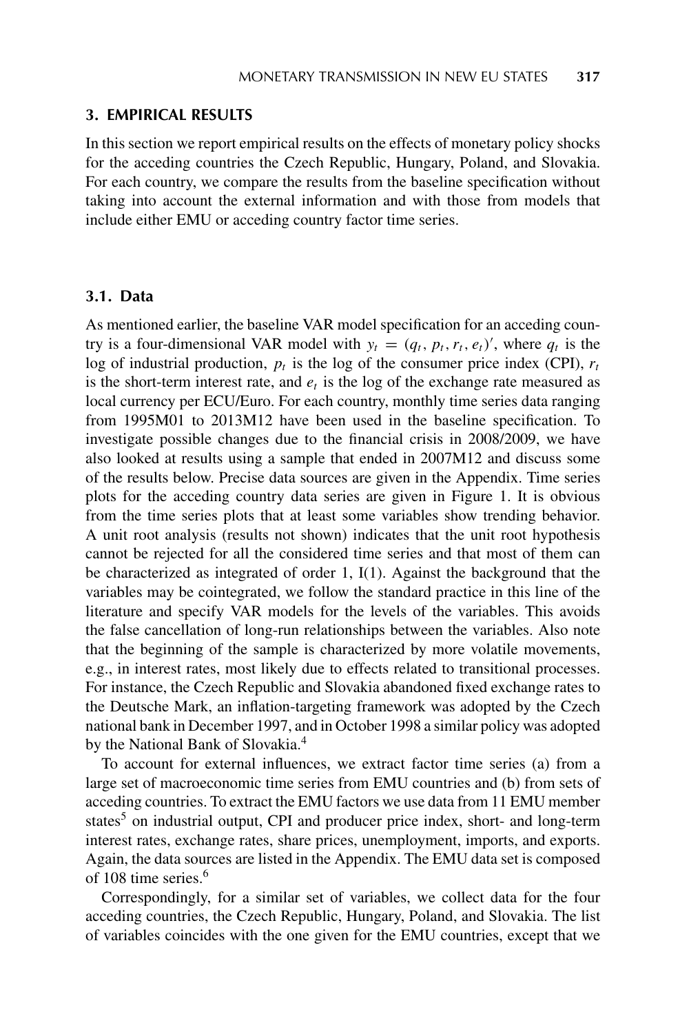# **3. EMPIRICAL RESULTS**

In this section we report empirical results on the effects of monetary policy shocks for the acceding countries the Czech Republic, Hungary, Poland, and Slovakia. For each country, we compare the results from the baseline specification without taking into account the external information and with those from models that include either EMU or acceding country factor time series.

#### **3.1. Data**

As mentioned earlier, the baseline VAR model specification for an acceding country is a four-dimensional VAR model with  $y_t = (q_t, p_t, r_t, e_t)'$ , where  $q_t$  is the log of industrial production,  $p_t$  is the log of the consumer price index (CPI),  $r_t$ is the short-term interest rate, and  $e_t$  is the log of the exchange rate measured as local currency per ECU/Euro. For each country, monthly time series data ranging from 1995M01 to 2013M12 have been used in the baseline specification. To investigate possible changes due to the financial crisis in 2008/2009, we have also looked at results using a sample that ended in 2007M12 and discuss some of the results below. Precise data sources are given in the Appendix. Time series plots for the acceding country data series are given in Figure 1. It is obvious from the time series plots that at least some variables show trending behavior. A unit root analysis (results not shown) indicates that the unit root hypothesis cannot be rejected for all the considered time series and that most of them can be characterized as integrated of order 1, I(1). Against the background that the variables may be cointegrated, we follow the standard practice in this line of the literature and specify VAR models for the levels of the variables. This avoids the false cancellation of long-run relationships between the variables. Also note that the beginning of the sample is characterized by more volatile movements, e.g., in interest rates, most likely due to effects related to transitional processes. For instance, the Czech Republic and Slovakia abandoned fixed exchange rates to the Deutsche Mark, an inflation-targeting framework was adopted by the Czech national bank in December 1997, and in October 1998 a similar policy was adopted by the National Bank of Slovakia.<sup>4</sup>

To account for external influences, we extract factor time series (a) from a large set of macroeconomic time series from EMU countries and (b) from sets of acceding countries. To extract the EMU factors we use data from 11 EMU member states<sup>5</sup> on industrial output, CPI and producer price index, short- and long-term interest rates, exchange rates, share prices, unemployment, imports, and exports. Again, the data sources are listed in the Appendix. The EMU data set is composed of 108 time series.<sup>6</sup>

Correspondingly, for a similar set of variables, we collect data for the four acceding countries, the Czech Republic, Hungary, Poland, and Slovakia. The list of variables coincides with the one given for the EMU countries, except that we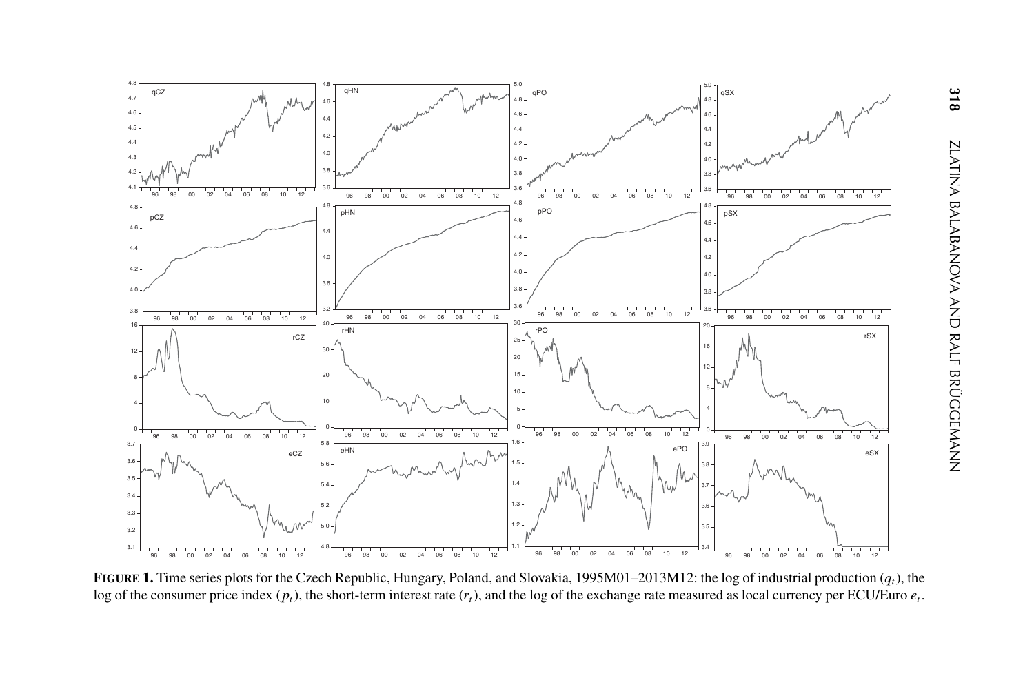

**FIGURE 1.** Time series plots for the Czech Republic, Hungary, Poland, and Slovakia, 1995M01–2013M12: the log of industrial production  $(q_t)$ , the log of the consumer price index  $(p_t)$ , the short-term interest rate  $(r_t)$ , and the log of the exchange rate measured as local currency per ECU/Euro  $e_t$ .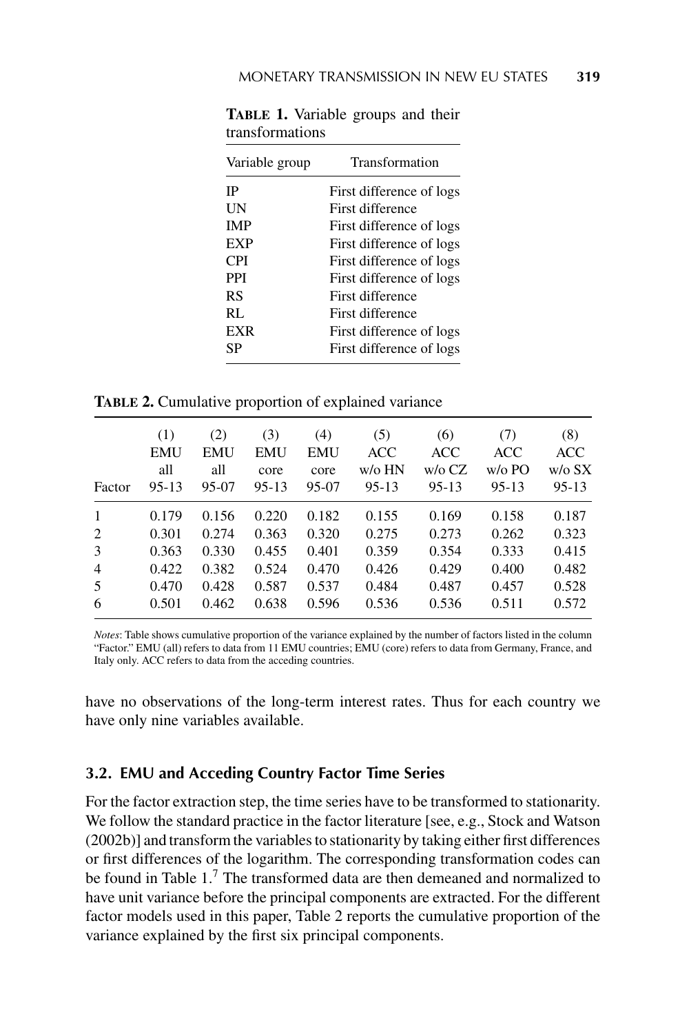| Variable group | Transformation           |
|----------------|--------------------------|
| IP             | First difference of logs |
| UN             | First difference         |
| <b>IMP</b>     | First difference of logs |
| EXP            | First difference of logs |
| CPI            | First difference of logs |
| <b>PPI</b>     | First difference of logs |
| RS             | First difference         |
| RL             | First difference         |
| <b>EXR</b>     | First difference of logs |
| SP             | First difference of logs |

**TABLE 1.** Variable groups and their transformations

**TABLE 2.** Cumulative proportion of explained variance

| Factor         | (1)<br><b>EMU</b><br>all<br>$95-13$ | (2)<br>EMU<br>all<br>95-07 | (3)<br><b>EMU</b><br>core<br>$95-13$ | (4)<br><b>EMU</b><br>core<br>95-07 | (5)<br>ACC<br>$w$ / $\circ$ HN<br>$95 - 13$ | (6)<br>ACC<br>$w$ /o CZ<br>$95 - 13$ | (7)<br><b>ACC</b><br>$w$ /o PO<br>$95-13$ | (8)<br><b>ACC</b><br>$w$ /o SX<br>$95 - 13$ |
|----------------|-------------------------------------|----------------------------|--------------------------------------|------------------------------------|---------------------------------------------|--------------------------------------|-------------------------------------------|---------------------------------------------|
| $\mathbf{1}$   | 0.179                               | 0.156                      | 0.220                                | 0.182                              | 0.155                                       | 0.169                                | 0.158                                     | 0.187                                       |
| 2              | 0.301                               | 0.274                      | 0.363                                | 0.320                              | 0.275                                       | 0.273                                | 0.262                                     | 0.323                                       |
| 3              | 0.363                               | 0.330                      | 0.455                                | 0.401                              | 0.359                                       | 0.354                                | 0.333                                     | 0.415                                       |
| $\overline{4}$ | 0.422                               | 0.382                      | 0.524                                | 0.470                              | 0.426                                       | 0.429                                | 0.400                                     | 0.482                                       |
| 5              | 0.470                               | 0.428                      | 0.587                                | 0.537                              | 0.484                                       | 0.487                                | 0.457                                     | 0.528                                       |
| 6              | 0.501                               | 0.462                      | 0.638                                | 0.596                              | 0.536                                       | 0.536                                | 0.511                                     | 0.572                                       |

*Notes*: Table shows cumulative proportion of the variance explained by the number of factors listed in the column "Factor." EMU (all) refers to data from 11 EMU countries; EMU (core) refers to data from Germany, France, and Italy only. ACC refers to data from the acceding countries.

have no observations of the long-term interest rates. Thus for each country we have only nine variables available.

# **3.2. EMU and Acceding Country Factor Time Series**

For the factor extraction step, the time series have to be transformed to stationarity. We follow the standard practice in the factor literature [see, e.g., Stock and Watson (2002b)] and transform the variables to stationarity by taking either first differences or first differences of the logarithm. The corresponding transformation codes can be found in Table  $1<sup>7</sup>$  The transformed data are then demeaned and normalized to have unit variance before the principal components are extracted. For the different factor models used in this paper, Table 2 reports the cumulative proportion of the variance explained by the first six principal components.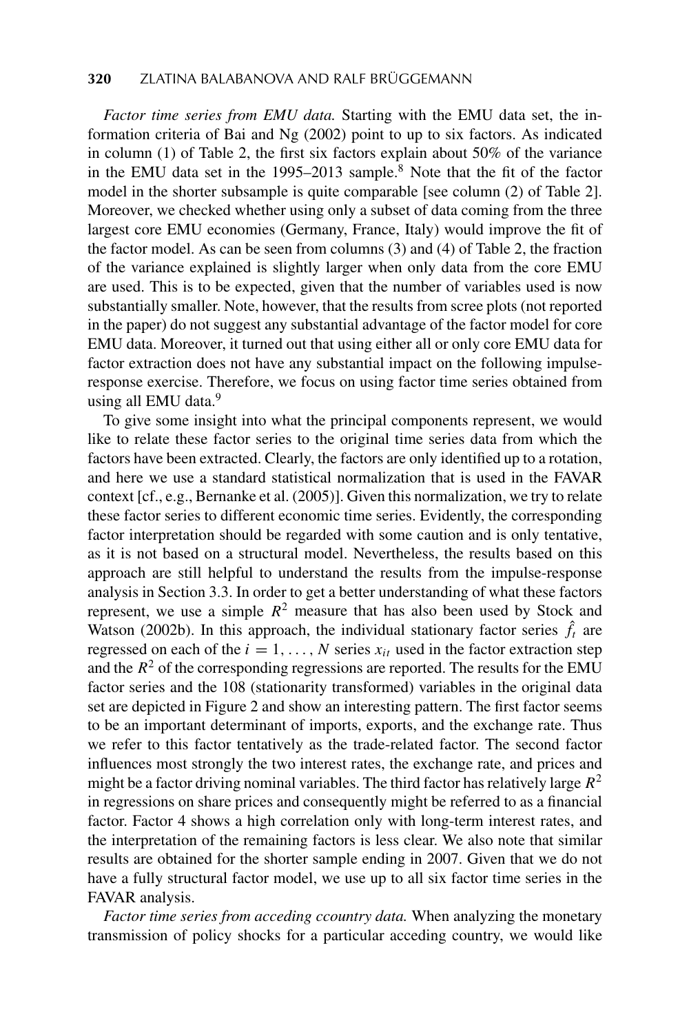# **320 ZLATINA BALABANOVA AND RALF BRÜGGEMANN**

*Factor time series from EMU data.* Starting with the EMU data set, the information criteria of Bai and Ng (2002) point to up to six factors. As indicated in column (1) of Table 2, the first six factors explain about 50% of the variance in the EMU data set in the 1995–2013 sample.<sup>8</sup> Note that the fit of the factor model in the shorter subsample is quite comparable [see column (2) of Table 2]. Moreover, we checked whether using only a subset of data coming from the three largest core EMU economies (Germany, France, Italy) would improve the fit of the factor model. As can be seen from columns (3) and (4) of Table 2, the fraction of the variance explained is slightly larger when only data from the core EMU are used. This is to be expected, given that the number of variables used is now substantially smaller. Note, however, that the results from scree plots (not reported in the paper) do not suggest any substantial advantage of the factor model for core EMU data. Moreover, it turned out that using either all or only core EMU data for factor extraction does not have any substantial impact on the following impulseresponse exercise. Therefore, we focus on using factor time series obtained from using all EMU data.<sup>9</sup>

To give some insight into what the principal components represent, we would like to relate these factor series to the original time series data from which the factors have been extracted. Clearly, the factors are only identified up to a rotation, and here we use a standard statistical normalization that is used in the FAVAR context [cf., e.g., Bernanke et al. (2005)]. Given this normalization, we try to relate these factor series to different economic time series. Evidently, the corresponding factor interpretation should be regarded with some caution and is only tentative, as it is not based on a structural model. Nevertheless, the results based on this approach are still helpful to understand the results from the impulse-response analysis in Section 3.3. In order to get a better understanding of what these factors represent, we use a simple  $R^2$  measure that has also been used by Stock and Watson (2002b). In this approach, the individual stationary factor series  $\hat{f}_t$  are regressed on each of the  $i = 1, \ldots, N$  series  $x_{it}$  used in the factor extraction step and the  $R<sup>2</sup>$  of the corresponding regressions are reported. The results for the EMU factor series and the 108 (stationarity transformed) variables in the original data set are depicted in Figure 2 and show an interesting pattern. The first factor seems to be an important determinant of imports, exports, and the exchange rate. Thus we refer to this factor tentatively as the trade-related factor. The second factor influences most strongly the two interest rates, the exchange rate, and prices and might be a factor driving nominal variables. The third factor has relatively large  $R^2$ in regressions on share prices and consequently might be referred to as a financial factor. Factor 4 shows a high correlation only with long-term interest rates, and the interpretation of the remaining factors is less clear. We also note that similar results are obtained for the shorter sample ending in 2007. Given that we do not have a fully structural factor model, we use up to all six factor time series in the FAVAR analysis.

*Factor time series from acceding ccountry data.* When analyzing the monetary transmission of policy shocks for a particular acceding country, we would like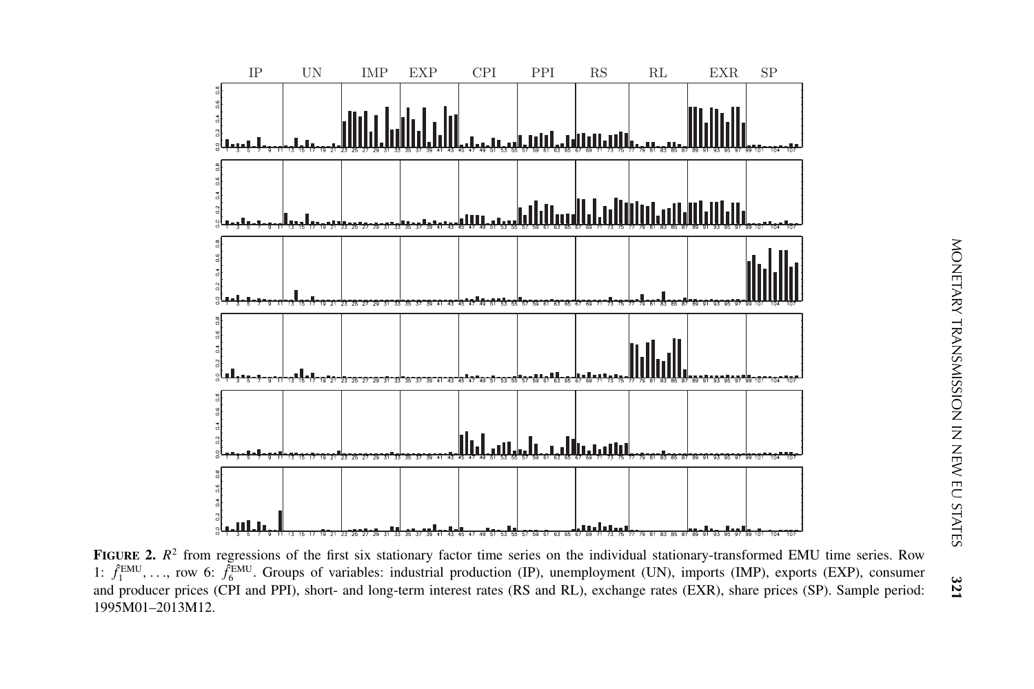

**FIGURE 2.**  $R^2$  from regressions of the first six stationary factor time series on the individual stationary-transformed EMU time series. Row 1:  $\hat{f}_1^{\text{EMU}},...$ , row 6:  $\hat{f}_6^{\text{EMU}}$ . Groups of variables: industrial production (IP), unemployment (UN), imports (IMP), exports (EXP), consumer and producer prices (CPI and PPI), short- and long-term interest rates (RS and RL), exchange rates (EXR), share prices (SP). Sample period: 1995M01–2013M12.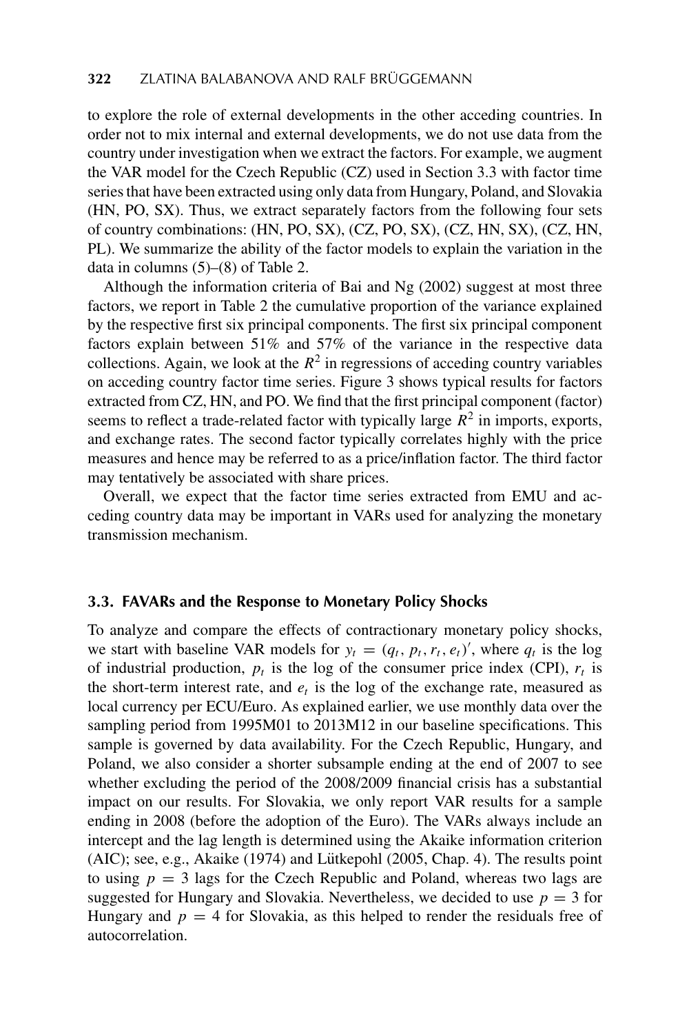to explore the role of external developments in the other acceding countries. In order not to mix internal and external developments, we do not use data from the country under investigation when we extract the factors. For example, we augment the VAR model for the Czech Republic (CZ) used in Section 3.3 with factor time series that have been extracted using only data from Hungary, Poland, and Slovakia (HN, PO, SX). Thus, we extract separately factors from the following four sets of country combinations: (HN, PO, SX), (CZ, PO, SX), (CZ, HN, SX), (CZ, HN, PL). We summarize the ability of the factor models to explain the variation in the data in columns (5)–(8) of Table 2.

Although the information criteria of Bai and Ng (2002) suggest at most three factors, we report in Table 2 the cumulative proportion of the variance explained by the respective first six principal components. The first six principal component factors explain between 51% and 57% of the variance in the respective data collections. Again, we look at the  $R^2$  in regressions of acceding country variables on acceding country factor time series. Figure 3 shows typical results for factors extracted from CZ, HN, and PO. We find that the first principal component (factor) seems to reflect a trade-related factor with typically large  $R^2$  in imports, exports, and exchange rates. The second factor typically correlates highly with the price measures and hence may be referred to as a price/inflation factor. The third factor may tentatively be associated with share prices.

Overall, we expect that the factor time series extracted from EMU and acceding country data may be important in VARs used for analyzing the monetary transmission mechanism.

#### **3.3. FAVARs and the Response to Monetary Policy Shocks**

To analyze and compare the effects of contractionary monetary policy shocks, we start with baseline VAR models for  $y_t = (q_t, p_t, r_t, e_t)'$ , where  $q_t$  is the log of industrial production,  $p_t$  is the log of the consumer price index (CPI),  $r_t$  is the short-term interest rate, and  $e_t$  is the log of the exchange rate, measured as local currency per ECU/Euro. As explained earlier, we use monthly data over the sampling period from 1995M01 to 2013M12 in our baseline specifications. This sample is governed by data availability. For the Czech Republic, Hungary, and Poland, we also consider a shorter subsample ending at the end of 2007 to see whether excluding the period of the 2008/2009 financial crisis has a substantial impact on our results. For Slovakia, we only report VAR results for a sample ending in 2008 (before the adoption of the Euro). The VARs always include an intercept and the lag length is determined using the Akaike information criterion (AIC); see, e.g., Akaike (1974) and Lütkepohl (2005, Chap. 4). The results point to using  $p = 3$  lags for the Czech Republic and Poland, whereas two lags are suggested for Hungary and Slovakia. Nevertheless, we decided to use  $p = 3$  for Hungary and  $p = 4$  for Slovakia, as this helped to render the residuals free of autocorrelation.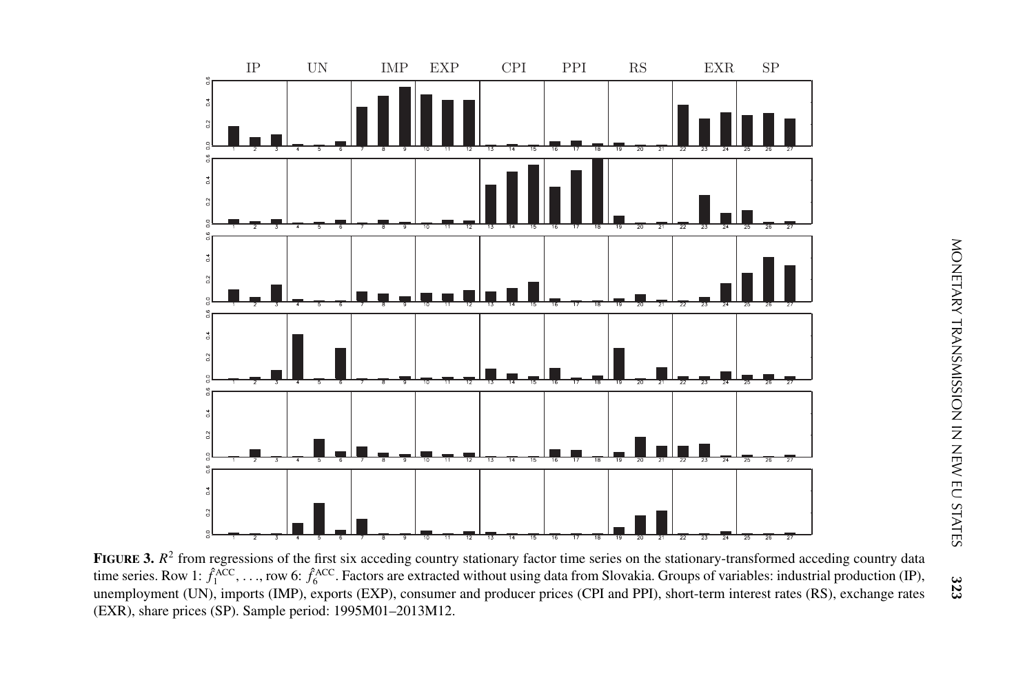

**FIGURE 3.**  $R^2$  from regressions of the first six acceding country stationary factor time series on the stationary-transformed acceding country data time series. Row 1:  $\hat{f}_1^{\text{ACC}}$ , ..., row 6:  $\hat{f}_6^{\text{ACC}}$ . Factors are extracted without using data from Slovakia. Groups of variables: industrial production (IP), unemployment (UN), imports (IMP), exports (EXP), consumer and producer prices (CPI and PPI), short-term interest rates (RS), exchange rates (EXR), share prices (SP). Sample period: 1995M01–2013M12.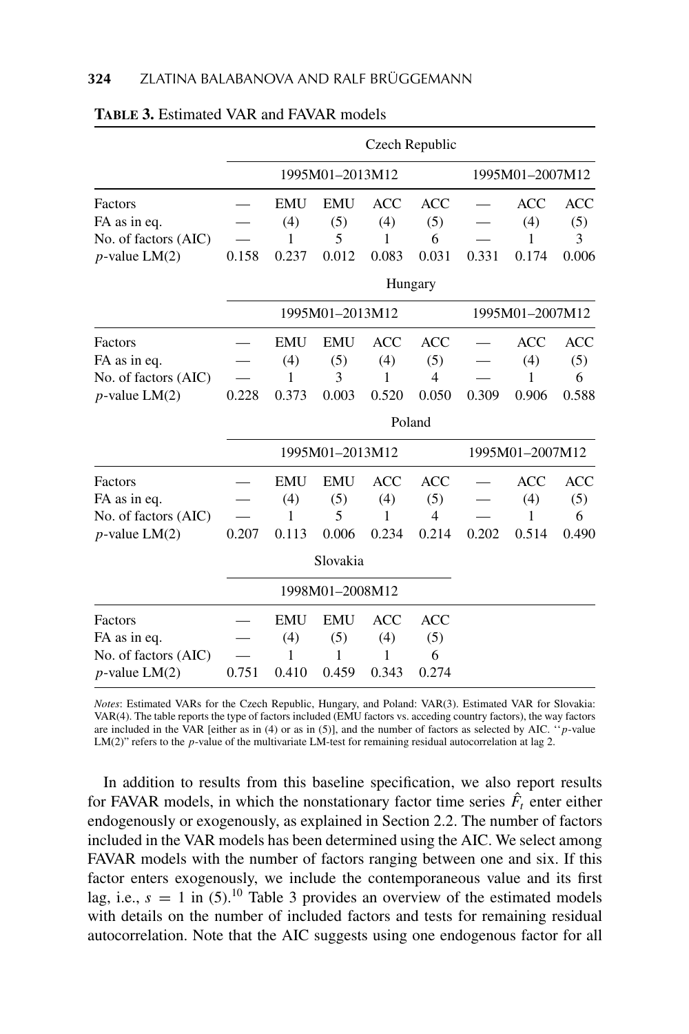|                                                                        |                 |                                 |                                 |                                 | Czech Republic                               |       |                                 |                                 |  |
|------------------------------------------------------------------------|-----------------|---------------------------------|---------------------------------|---------------------------------|----------------------------------------------|-------|---------------------------------|---------------------------------|--|
|                                                                        |                 | 1995M01-2013M12                 |                                 |                                 |                                              |       | 1995M01-2007M12                 |                                 |  |
| Factors<br>FA as in eq.<br>No. of factors (AIC)<br>$p$ -value LM $(2)$ | 0.158           | <b>EMU</b><br>(4)<br>1<br>0.237 | <b>EMU</b><br>(5)<br>5<br>0.012 | <b>ACC</b><br>(4)<br>1<br>0.083 | <b>ACC</b><br>(5)<br>6<br>0.031              | 0.331 | <b>ACC</b><br>(4)<br>1<br>0.174 | <b>ACC</b><br>(5)<br>3<br>0.006 |  |
|                                                                        | Hungary         |                                 |                                 |                                 |                                              |       |                                 |                                 |  |
|                                                                        |                 | 1995M01-2013M12                 |                                 |                                 |                                              |       | 1995M01-2007M12                 |                                 |  |
| Factors<br>FA as in eq.<br>No. of factors (AIC)<br>$p$ -value LM $(2)$ | 0.228           | <b>EMU</b><br>(4)<br>1<br>0.373 | <b>EMU</b><br>(5)<br>3<br>0.003 | <b>ACC</b><br>(4)<br>1<br>0.520 | <b>ACC</b><br>(5)<br>4<br>0.050              | 0.309 | <b>ACC</b><br>(4)<br>1<br>0.906 | ACC<br>(5)<br>6<br>0.588        |  |
|                                                                        | Poland          |                                 |                                 |                                 |                                              |       |                                 |                                 |  |
|                                                                        | 1995M01-2013M12 |                                 |                                 |                                 | 1995M01-2007M12                              |       |                                 |                                 |  |
| Factors<br>FA as in eq.<br>No. of factors (AIC)<br>$p$ -value LM $(2)$ | 0.207           | <b>EMU</b><br>(4)<br>1<br>0.113 | <b>EMU</b><br>(5)<br>5<br>0.006 | <b>ACC</b><br>(4)<br>1<br>0.234 | <b>ACC</b><br>(5)<br>$\overline{4}$<br>0.214 | 0.202 | <b>ACC</b><br>(4)<br>1<br>0.514 | <b>ACC</b><br>(5)<br>6<br>0.490 |  |
|                                                                        |                 |                                 | Slovakia                        |                                 |                                              |       |                                 |                                 |  |
|                                                                        |                 |                                 | 1998M01-2008M12                 |                                 |                                              |       |                                 |                                 |  |
| Factors<br>FA as in eq.<br>No. of factors (AIC)<br>$p$ -value LM $(2)$ | 0.751           | <b>EMU</b><br>(4)<br>1<br>0.410 | <b>EMU</b><br>(5)<br>1<br>0.459 | <b>ACC</b><br>(4)<br>1<br>0.343 | <b>ACC</b><br>(5)<br>6<br>0.274              |       |                                 |                                 |  |

#### **TABLE 3.** Estimated VAR and FAVAR models

*Notes*: Estimated VARs for the Czech Republic, Hungary, and Poland: VAR(3). Estimated VAR for Slovakia: VAR(4). The table reports the type of factors included (EMU factors vs. acceding country factors), the way factors are included in the VAR [either as in (4) or as in (5)], and the number of factors as selected by AIC. " $p$ -value LM(2)" refers to the *p*-value of the multivariate LM-test for remaining residual autocorrelation at lag 2.

In addition to results from this baseline specification, we also report results for FAVAR models, in which the nonstationary factor time series  $\hat{F}_t$  enter either endogenously or exogenously, as explained in Section 2.2. The number of factors included in the VAR models has been determined using the AIC. We select among FAVAR models with the number of factors ranging between one and six. If this factor enters exogenously, we include the contemporaneous value and its first lag, i.e.,  $s = 1$  in (5).<sup>10</sup> Table 3 provides an overview of the estimated models with details on the number of included factors and tests for remaining residual autocorrelation. Note that the AIC suggests using one endogenous factor for all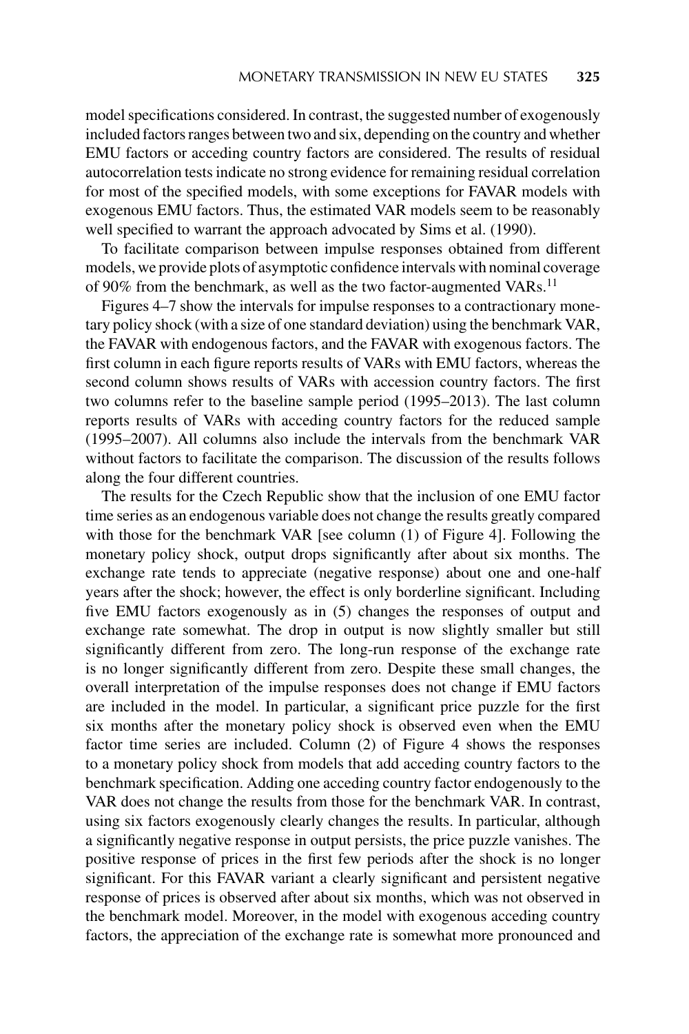model specifications considered. In contrast, the suggested number of exogenously included factors ranges between two and six, depending on the country and whether EMU factors or acceding country factors are considered. The results of residual autocorrelation tests indicate no strong evidence for remaining residual correlation for most of the specified models, with some exceptions for FAVAR models with exogenous EMU factors. Thus, the estimated VAR models seem to be reasonably well specified to warrant the approach advocated by Sims et al. (1990).

To facilitate comparison between impulse responses obtained from different models, we provide plots of asymptotic confidence intervals with nominal coverage of 90% from the benchmark, as well as the two factor-augmented VARs.<sup>11</sup>

Figures 4–7 show the intervals for impulse responses to a contractionary monetary policy shock (with a size of one standard deviation) using the benchmark VAR, the FAVAR with endogenous factors, and the FAVAR with exogenous factors. The first column in each figure reports results of VARs with EMU factors, whereas the second column shows results of VARs with accession country factors. The first two columns refer to the baseline sample period (1995–2013). The last column reports results of VARs with acceding country factors for the reduced sample (1995–2007). All columns also include the intervals from the benchmark VAR without factors to facilitate the comparison. The discussion of the results follows along the four different countries.

The results for the Czech Republic show that the inclusion of one EMU factor time series as an endogenous variable does not change the results greatly compared with those for the benchmark VAR [see column (1) of Figure 4]. Following the monetary policy shock, output drops significantly after about six months. The exchange rate tends to appreciate (negative response) about one and one-half years after the shock; however, the effect is only borderline significant. Including five EMU factors exogenously as in (5) changes the responses of output and exchange rate somewhat. The drop in output is now slightly smaller but still significantly different from zero. The long-run response of the exchange rate is no longer significantly different from zero. Despite these small changes, the overall interpretation of the impulse responses does not change if EMU factors are included in the model. In particular, a significant price puzzle for the first six months after the monetary policy shock is observed even when the EMU factor time series are included. Column (2) of Figure 4 shows the responses to a monetary policy shock from models that add acceding country factors to the benchmark specification. Adding one acceding country factor endogenously to the VAR does not change the results from those for the benchmark VAR. In contrast, using six factors exogenously clearly changes the results. In particular, although a significantly negative response in output persists, the price puzzle vanishes. The positive response of prices in the first few periods after the shock is no longer significant. For this FAVAR variant a clearly significant and persistent negative response of prices is observed after about six months, which was not observed in the benchmark model. Moreover, in the model with exogenous acceding country factors, the appreciation of the exchange rate is somewhat more pronounced and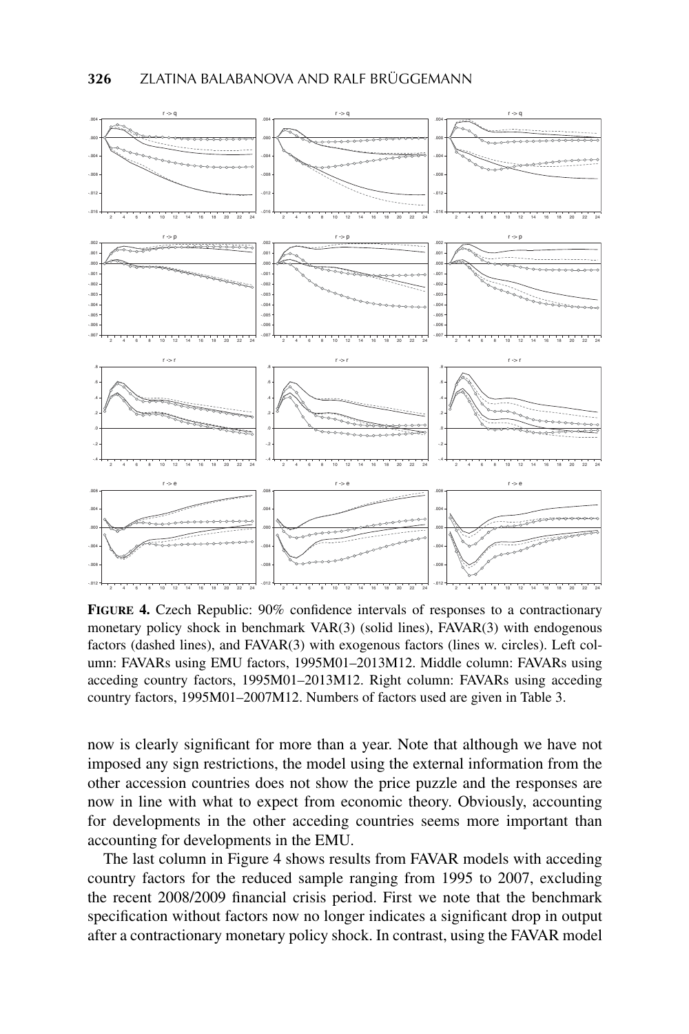

**FIGURE 4.** Czech Republic: 90% confidence intervals of responses to a contractionary monetary policy shock in benchmark VAR(3) (solid lines), FAVAR(3) with endogenous factors (dashed lines), and FAVAR(3) with exogenous factors (lines w. circles). Left column: FAVARs using EMU factors, 1995M01–2013M12. Middle column: FAVARs using acceding country factors, 1995M01–2013M12. Right column: FAVARs using acceding country factors, 1995M01–2007M12. Numbers of factors used are given in Table 3.

now is clearly significant for more than a year. Note that although we have not imposed any sign restrictions, the model using the external information from the other accession countries does not show the price puzzle and the responses are now in line with what to expect from economic theory. Obviously, accounting for developments in the other acceding countries seems more important than accounting for developments in the EMU.

The last column in Figure 4 shows results from FAVAR models with acceding country factors for the reduced sample ranging from 1995 to 2007, excluding the recent 2008/2009 financial crisis period. First we note that the benchmark specification without factors now no longer indicates a significant drop in output after a contractionary monetary policy shock. In contrast, using the FAVAR model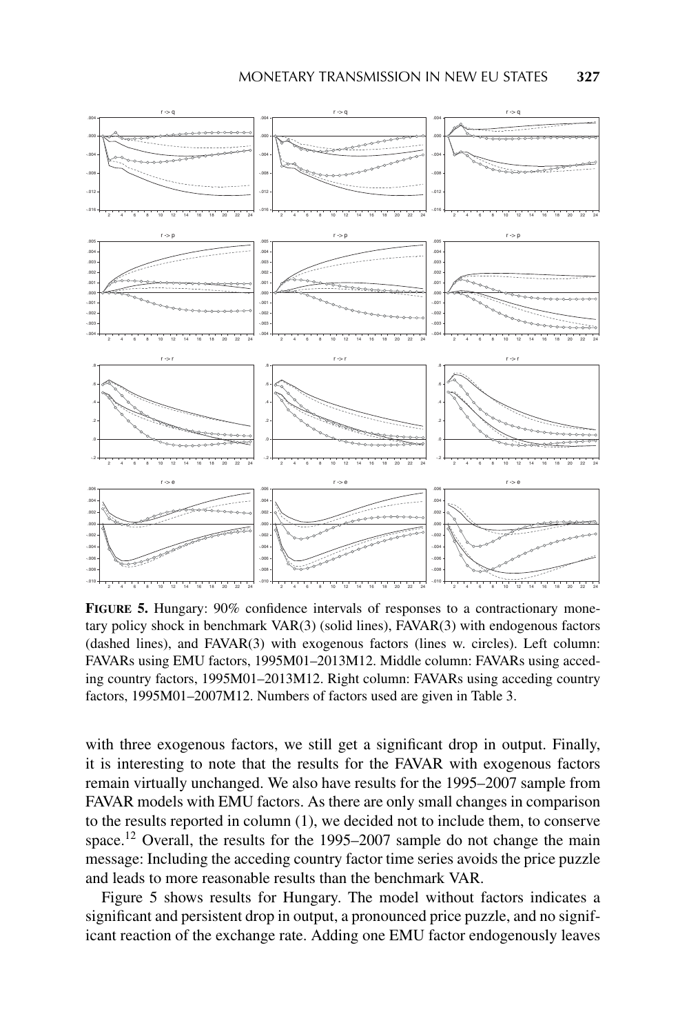

**FIGURE 5.** Hungary: 90% confidence intervals of responses to a contractionary monetary policy shock in benchmark VAR(3) (solid lines), FAVAR(3) with endogenous factors (dashed lines), and FAVAR(3) with exogenous factors (lines w. circles). Left column: FAVARs using EMU factors, 1995M01–2013M12. Middle column: FAVARs using acceding country factors, 1995M01–2013M12. Right column: FAVARs using acceding country factors, 1995M01–2007M12. Numbers of factors used are given in Table 3.

with three exogenous factors, we still get a significant drop in output. Finally, it is interesting to note that the results for the FAVAR with exogenous factors remain virtually unchanged. We also have results for the 1995–2007 sample from FAVAR models with EMU factors. As there are only small changes in comparison to the results reported in column (1), we decided not to include them, to conserve space.<sup>12</sup> Overall, the results for the 1995–2007 sample do not change the main message: Including the acceding country factor time series avoids the price puzzle and leads to more reasonable results than the benchmark VAR.

Figure 5 shows results for Hungary. The model without factors indicates a significant and persistent drop in output, a pronounced price puzzle, and no significant reaction of the exchange rate. Adding one EMU factor endogenously leaves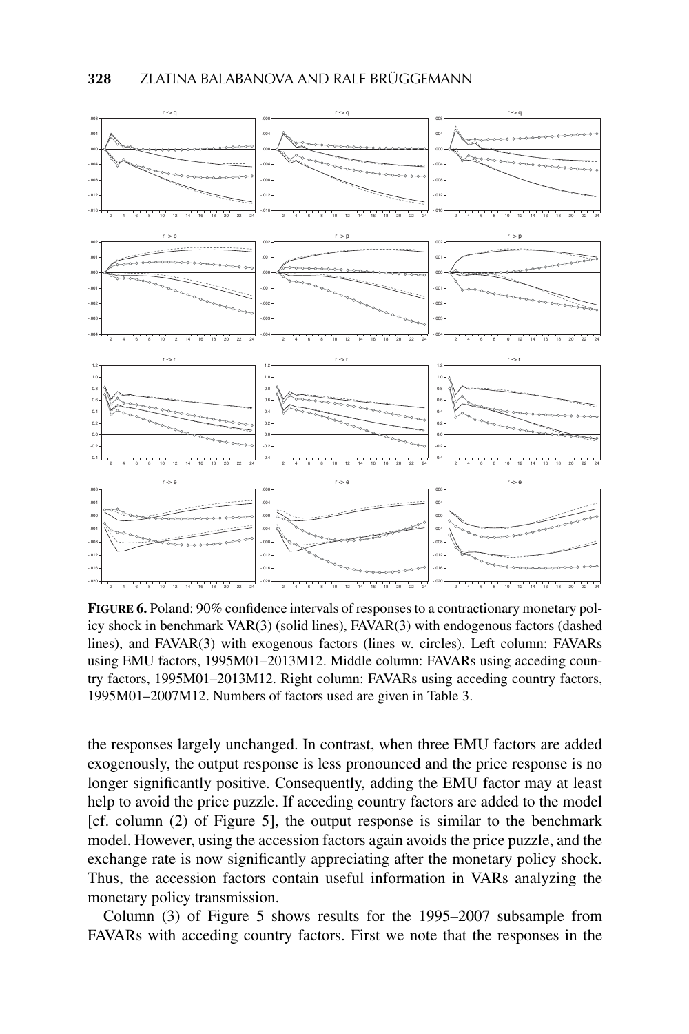

**FIGURE 6.** Poland: 90% confidence intervals of responses to a contractionary monetary policy shock in benchmark VAR(3) (solid lines), FAVAR(3) with endogenous factors (dashed lines), and FAVAR(3) with exogenous factors (lines w. circles). Left column: FAVARs using EMU factors, 1995M01–2013M12. Middle column: FAVARs using acceding country factors, 1995M01–2013M12. Right column: FAVARs using acceding country factors, 1995M01–2007M12. Numbers of factors used are given in Table 3.

the responses largely unchanged. In contrast, when three EMU factors are added exogenously, the output response is less pronounced and the price response is no longer significantly positive. Consequently, adding the EMU factor may at least help to avoid the price puzzle. If acceding country factors are added to the model [cf. column (2) of Figure 5], the output response is similar to the benchmark model. However, using the accession factors again avoids the price puzzle, and the exchange rate is now significantly appreciating after the monetary policy shock. Thus, the accession factors contain useful information in VARs analyzing the monetary policy transmission.

Column (3) of Figure 5 shows results for the 1995–2007 subsample from FAVARs with acceding country factors. First we note that the responses in the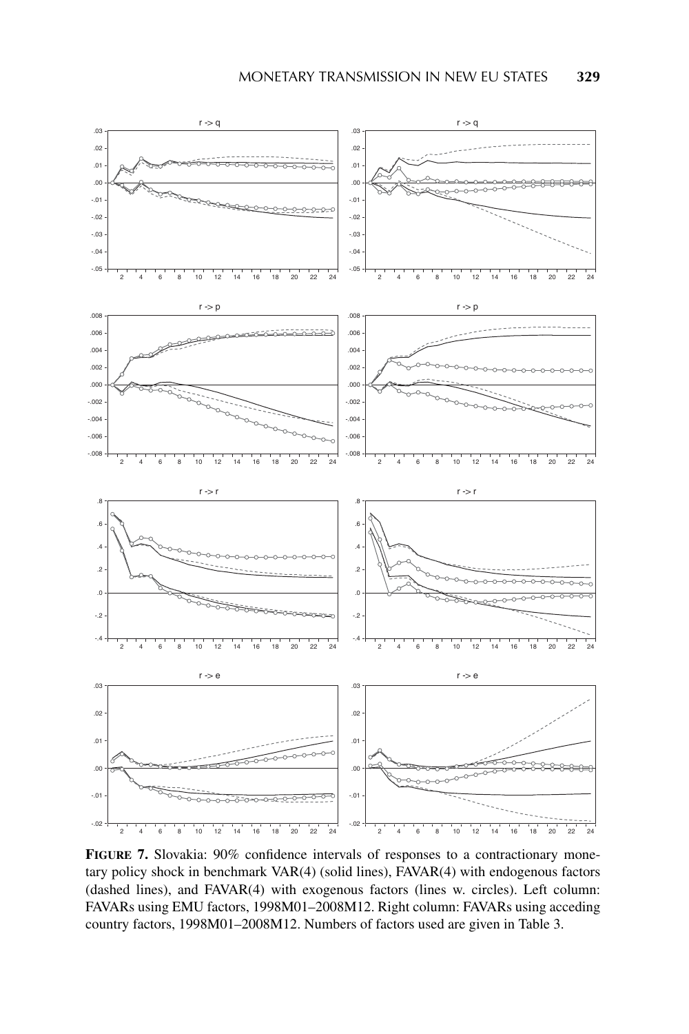

**FIGURE 7.** Slovakia: 90% confidence intervals of responses to a contractionary monetary policy shock in benchmark VAR(4) (solid lines), FAVAR(4) with endogenous factors (dashed lines), and FAVAR(4) with exogenous factors (lines w. circles). Left column: FAVARs using EMU factors, 1998M01–2008M12. Right column: FAVARs using acceding country factors, 1998M01–2008M12. Numbers of factors used are given in Table 3.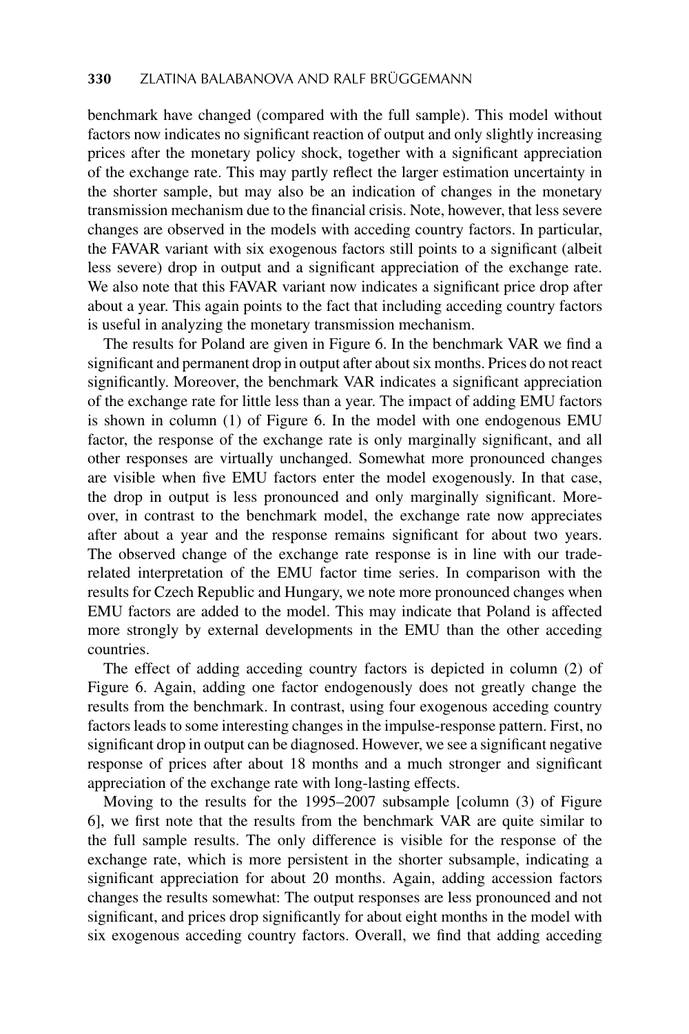benchmark have changed (compared with the full sample). This model without factors now indicates no significant reaction of output and only slightly increasing prices after the monetary policy shock, together with a significant appreciation of the exchange rate. This may partly reflect the larger estimation uncertainty in the shorter sample, but may also be an indication of changes in the monetary transmission mechanism due to the financial crisis. Note, however, that less severe changes are observed in the models with acceding country factors. In particular, the FAVAR variant with six exogenous factors still points to a significant (albeit less severe) drop in output and a significant appreciation of the exchange rate. We also note that this FAVAR variant now indicates a significant price drop after about a year. This again points to the fact that including acceding country factors is useful in analyzing the monetary transmission mechanism.

The results for Poland are given in Figure 6. In the benchmark VAR we find a significant and permanent drop in output after about six months. Prices do not react significantly. Moreover, the benchmark VAR indicates a significant appreciation of the exchange rate for little less than a year. The impact of adding EMU factors is shown in column (1) of Figure 6. In the model with one endogenous EMU factor, the response of the exchange rate is only marginally significant, and all other responses are virtually unchanged. Somewhat more pronounced changes are visible when five EMU factors enter the model exogenously. In that case, the drop in output is less pronounced and only marginally significant. Moreover, in contrast to the benchmark model, the exchange rate now appreciates after about a year and the response remains significant for about two years. The observed change of the exchange rate response is in line with our traderelated interpretation of the EMU factor time series. In comparison with the results for Czech Republic and Hungary, we note more pronounced changes when EMU factors are added to the model. This may indicate that Poland is affected more strongly by external developments in the EMU than the other acceding countries.

The effect of adding acceding country factors is depicted in column (2) of Figure 6. Again, adding one factor endogenously does not greatly change the results from the benchmark. In contrast, using four exogenous acceding country factors leads to some interesting changes in the impulse-response pattern. First, no significant drop in output can be diagnosed. However, we see a significant negative response of prices after about 18 months and a much stronger and significant appreciation of the exchange rate with long-lasting effects.

Moving to the results for the 1995–2007 subsample [column (3) of Figure 6], we first note that the results from the benchmark VAR are quite similar to the full sample results. The only difference is visible for the response of the exchange rate, which is more persistent in the shorter subsample, indicating a significant appreciation for about 20 months. Again, adding accession factors changes the results somewhat: The output responses are less pronounced and not significant, and prices drop significantly for about eight months in the model with six exogenous acceding country factors. Overall, we find that adding acceding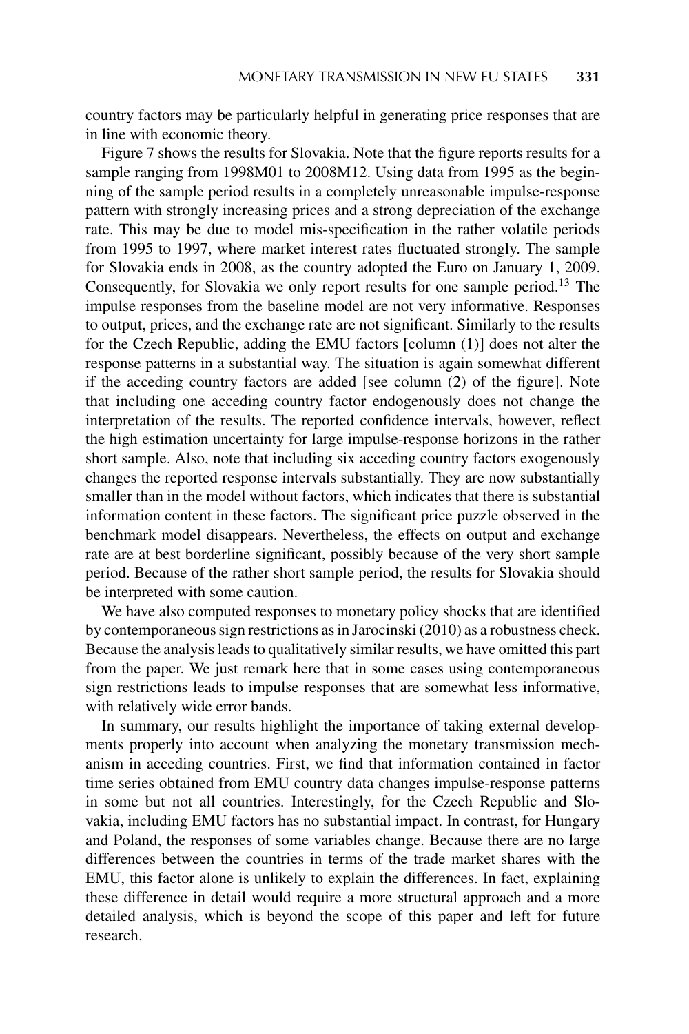country factors may be particularly helpful in generating price responses that are in line with economic theory.

Figure 7 shows the results for Slovakia. Note that the figure reports results for a sample ranging from 1998M01 to 2008M12. Using data from 1995 as the beginning of the sample period results in a completely unreasonable impulse-response pattern with strongly increasing prices and a strong depreciation of the exchange rate. This may be due to model mis-specification in the rather volatile periods from 1995 to 1997, where market interest rates fluctuated strongly. The sample for Slovakia ends in 2008, as the country adopted the Euro on January 1, 2009. Consequently, for Slovakia we only report results for one sample period.<sup>13</sup> The impulse responses from the baseline model are not very informative. Responses to output, prices, and the exchange rate are not significant. Similarly to the results for the Czech Republic, adding the EMU factors [column (1)] does not alter the response patterns in a substantial way. The situation is again somewhat different if the acceding country factors are added [see column (2) of the figure]. Note that including one acceding country factor endogenously does not change the interpretation of the results. The reported confidence intervals, however, reflect the high estimation uncertainty for large impulse-response horizons in the rather short sample. Also, note that including six acceding country factors exogenously changes the reported response intervals substantially. They are now substantially smaller than in the model without factors, which indicates that there is substantial information content in these factors. The significant price puzzle observed in the benchmark model disappears. Nevertheless, the effects on output and exchange rate are at best borderline significant, possibly because of the very short sample period. Because of the rather short sample period, the results for Slovakia should be interpreted with some caution.

We have also computed responses to monetary policy shocks that are identified by contemporaneous sign restrictions as in Jarocinski (2010) as a robustness check. Because the analysis leads to qualitatively similar results, we have omitted this part from the paper. We just remark here that in some cases using contemporaneous sign restrictions leads to impulse responses that are somewhat less informative, with relatively wide error bands.

In summary, our results highlight the importance of taking external developments properly into account when analyzing the monetary transmission mechanism in acceding countries. First, we find that information contained in factor time series obtained from EMU country data changes impulse-response patterns in some but not all countries. Interestingly, for the Czech Republic and Slovakia, including EMU factors has no substantial impact. In contrast, for Hungary and Poland, the responses of some variables change. Because there are no large differences between the countries in terms of the trade market shares with the EMU, this factor alone is unlikely to explain the differences. In fact, explaining these difference in detail would require a more structural approach and a more detailed analysis, which is beyond the scope of this paper and left for future research.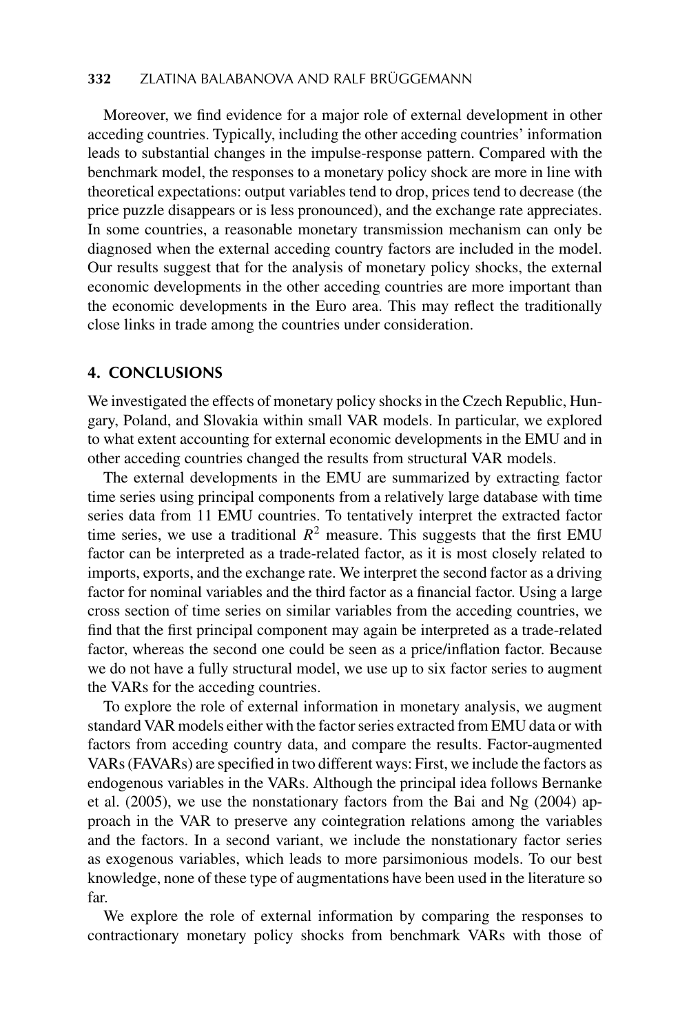# **332 ZLATINA BALABANOVA AND RALF BRÜGGEMANN**

Moreover, we find evidence for a major role of external development in other acceding countries. Typically, including the other acceding countries' information leads to substantial changes in the impulse-response pattern. Compared with the benchmark model, the responses to a monetary policy shock are more in line with theoretical expectations: output variables tend to drop, prices tend to decrease (the price puzzle disappears or is less pronounced), and the exchange rate appreciates. In some countries, a reasonable monetary transmission mechanism can only be diagnosed when the external acceding country factors are included in the model. Our results suggest that for the analysis of monetary policy shocks, the external economic developments in the other acceding countries are more important than the economic developments in the Euro area. This may reflect the traditionally close links in trade among the countries under consideration.

# **4. CONCLUSIONS**

We investigated the effects of monetary policy shocks in the Czech Republic, Hungary, Poland, and Slovakia within small VAR models. In particular, we explored to what extent accounting for external economic developments in the EMU and in other acceding countries changed the results from structural VAR models.

The external developments in the EMU are summarized by extracting factor time series using principal components from a relatively large database with time series data from 11 EMU countries. To tentatively interpret the extracted factor time series, we use a traditional  $R^2$  measure. This suggests that the first EMU factor can be interpreted as a trade-related factor, as it is most closely related to imports, exports, and the exchange rate. We interpret the second factor as a driving factor for nominal variables and the third factor as a financial factor. Using a large cross section of time series on similar variables from the acceding countries, we find that the first principal component may again be interpreted as a trade-related factor, whereas the second one could be seen as a price/inflation factor. Because we do not have a fully structural model, we use up to six factor series to augment the VARs for the acceding countries.

To explore the role of external information in monetary analysis, we augment standard VAR models either with the factor series extracted from EMU data or with factors from acceding country data, and compare the results. Factor-augmented VARs (FAVARs) are specified in two different ways: First, we include the factors as endogenous variables in the VARs. Although the principal idea follows Bernanke et al. (2005), we use the nonstationary factors from the Bai and Ng (2004) approach in the VAR to preserve any cointegration relations among the variables and the factors. In a second variant, we include the nonstationary factor series as exogenous variables, which leads to more parsimonious models. To our best knowledge, none of these type of augmentations have been used in the literature so far.

We explore the role of external information by comparing the responses to contractionary monetary policy shocks from benchmark VARs with those of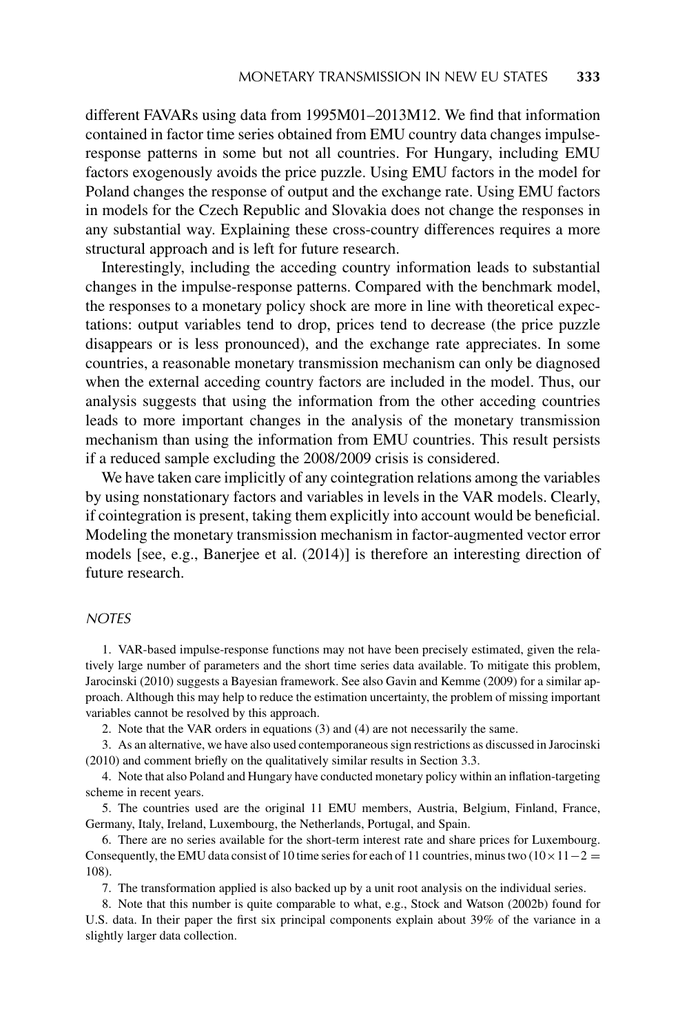different FAVARs using data from 1995M01–2013M12. We find that information contained in factor time series obtained from EMU country data changes impulseresponse patterns in some but not all countries. For Hungary, including EMU factors exogenously avoids the price puzzle. Using EMU factors in the model for Poland changes the response of output and the exchange rate. Using EMU factors in models for the Czech Republic and Slovakia does not change the responses in any substantial way. Explaining these cross-country differences requires a more structural approach and is left for future research.

Interestingly, including the acceding country information leads to substantial changes in the impulse-response patterns. Compared with the benchmark model, the responses to a monetary policy shock are more in line with theoretical expectations: output variables tend to drop, prices tend to decrease (the price puzzle disappears or is less pronounced), and the exchange rate appreciates. In some countries, a reasonable monetary transmission mechanism can only be diagnosed when the external acceding country factors are included in the model. Thus, our analysis suggests that using the information from the other acceding countries leads to more important changes in the analysis of the monetary transmission mechanism than using the information from EMU countries. This result persists if a reduced sample excluding the 2008/2009 crisis is considered.

We have taken care implicitly of any cointegration relations among the variables by using nonstationary factors and variables in levels in the VAR models. Clearly, if cointegration is present, taking them explicitly into account would be beneficial. Modeling the monetary transmission mechanism in factor-augmented vector error models [see, e.g., Banerjee et al. (2014)] is therefore an interesting direction of future research.

## *NOTES*

1. VAR-based impulse-response functions may not have been precisely estimated, given the relatively large number of parameters and the short time series data available. To mitigate this problem, Jarocinski (2010) suggests a Bayesian framework. See also Gavin and Kemme (2009) for a similar approach. Although this may help to reduce the estimation uncertainty, the problem of missing important variables cannot be resolved by this approach.

2. Note that the VAR orders in equations (3) and (4) are not necessarily the same.

3. As an alternative, we have also used contemporaneous sign restrictions as discussed in Jarocinski (2010) and comment briefly on the qualitatively similar results in Section 3.3.

4. Note that also Poland and Hungary have conducted monetary policy within an inflation-targeting scheme in recent years.

5. The countries used are the original 11 EMU members, Austria, Belgium, Finland, France, Germany, Italy, Ireland, Luxembourg, the Netherlands, Portugal, and Spain.

6. There are no series available for the short-term interest rate and share prices for Luxembourg. Consequently, the EMU data consist of 10 time series for each of 11 countries, minus two ( $10 \times 11-2 =$ 108).

7. The transformation applied is also backed up by a unit root analysis on the individual series.

8. Note that this number is quite comparable to what, e.g., Stock and Watson (2002b) found for U.S. data. In their paper the first six principal components explain about 39% of the variance in a slightly larger data collection.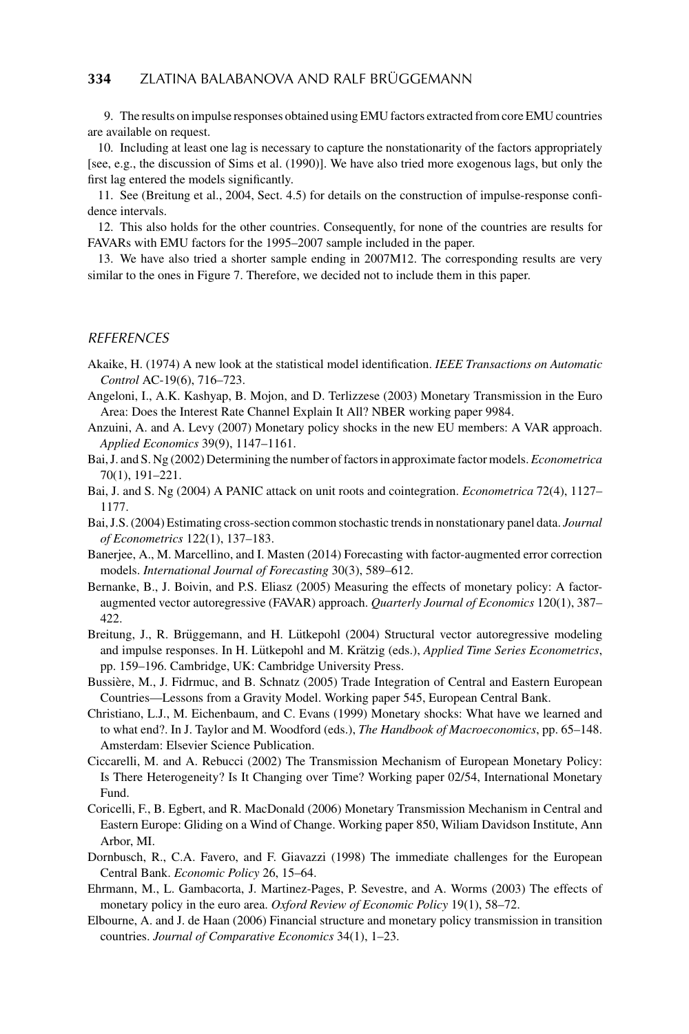# **334 ZLATINA BALABANOVA AND RALE BRÜGGEMANN**

9. The results on impulse responses obtained using EMU factors extracted from core EMU countries are available on request.

10. Including at least one lag is necessary to capture the nonstationarity of the factors appropriately [see, e.g., the discussion of Sims et al. (1990)]. We have also tried more exogenous lags, but only the first lag entered the models significantly.

11. See (Breitung et al., 2004, Sect. 4.5) for details on the construction of impulse-response confidence intervals.

12. This also holds for the other countries. Consequently, for none of the countries are results for FAVARs with EMU factors for the 1995–2007 sample included in the paper.

13. We have also tried a shorter sample ending in 2007M12. The corresponding results are very similar to the ones in Figure 7. Therefore, we decided not to include them in this paper.

#### *REFERENCES*

Akaike, H. (1974) A new look at the statistical model identification. *IEEE Transactions on Automatic Control* AC-19(6), 716–723.

Angeloni, I., A.K. Kashyap, B. Mojon, and D. Terlizzese (2003) Monetary Transmission in the Euro Area: Does the Interest Rate Channel Explain It All? NBER working paper 9984.

Anzuini, A. and A. Levy (2007) Monetary policy shocks in the new EU members: A VAR approach. *Applied Economics* 39(9), 1147–1161.

Bai, J. and S. Ng (2002) Determining the number of factors in approximate factor models. *Econometrica* 70(1), 191–221.

Bai, J. and S. Ng (2004) A PANIC attack on unit roots and cointegration. *Econometrica* 72(4), 1127– 1177.

- Bai, J.S. (2004) Estimating cross-section common stochastic trends in nonstationary panel data. *Journal of Econometrics* 122(1), 137–183.
- Banerjee, A., M. Marcellino, and I. Masten (2014) Forecasting with factor-augmented error correction models. *International Journal of Forecasting* 30(3), 589–612.
- Bernanke, B., J. Boivin, and P.S. Eliasz (2005) Measuring the effects of monetary policy: A factoraugmented vector autoregressive (FAVAR) approach. *Quarterly Journal of Economics* 120(1), 387– 422.
- Breitung, J., R. Brüggemann, and H. Lütkepohl (2004) Structural vector autoregressive modeling and impulse responses. In H. Lutkepohl and M. Krätzig (eds.), *Applied Time Series Econometrics*, pp. 159–196. Cambridge, UK: Cambridge University Press.
- Bussiere, M., J. Fidrmuc, and B. Schnatz (2005) Trade Integration of Central and Eastern European ` Countries—Lessons from a Gravity Model. Working paper 545, European Central Bank.
- Christiano, L.J., M. Eichenbaum, and C. Evans (1999) Monetary shocks: What have we learned and to what end?. In J. Taylor and M. Woodford (eds.), *The Handbook of Macroeconomics*, pp. 65–148. Amsterdam: Elsevier Science Publication.
- Ciccarelli, M. and A. Rebucci (2002) The Transmission Mechanism of European Monetary Policy: Is There Heterogeneity? Is It Changing over Time? Working paper 02/54, International Monetary Fund.
- Coricelli, F., B. Egbert, and R. MacDonald (2006) Monetary Transmission Mechanism in Central and Eastern Europe: Gliding on a Wind of Change. Working paper 850, Wiliam Davidson Institute, Ann Arbor, MI.
- Dornbusch, R., C.A. Favero, and F. Giavazzi (1998) The immediate challenges for the European Central Bank. *Economic Policy* 26, 15–64.
- Ehrmann, M., L. Gambacorta, J. Martinez-Pages, P. Sevestre, and A. Worms (2003) The effects of monetary policy in the euro area. *Oxford Review of Economic Policy* 19(1), 58–72.
- Elbourne, A. and J. de Haan (2006) Financial structure and monetary policy transmission in transition countries. *Journal of Comparative Economics* 34(1), 1–23.